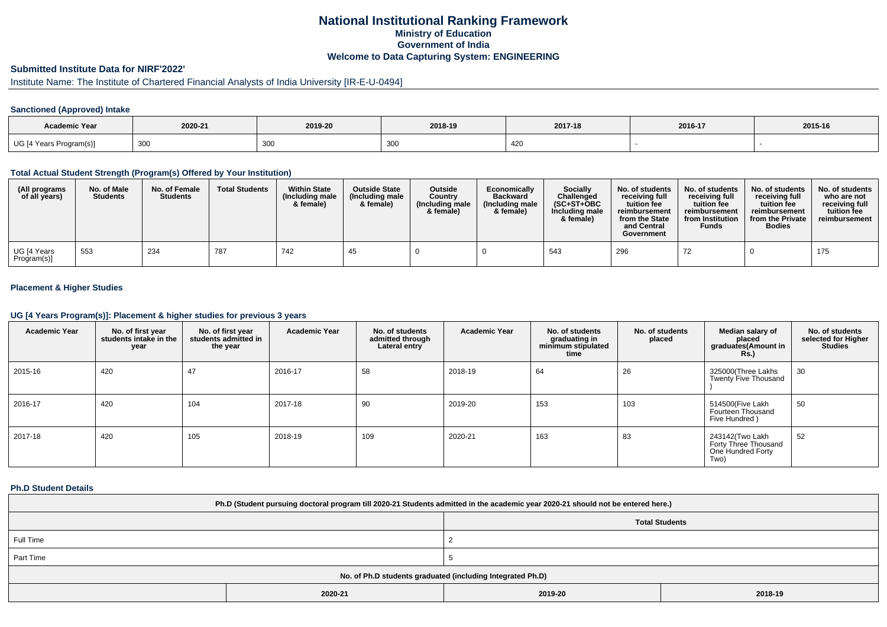## **National Institutional Ranking FrameworkMinistry of Education Government of IndiaWelcome to Data Capturing System: ENGINEERING**

# **Submitted Institute Data for NIRF'2022'**

# Institute Name: The Institute of Chartered Financial Analysts of India University [IR-E-U-0494]

### **Sanctioned (Approved) Intake**

| <b>Academic Year</b>    | 2020-21 | 2019-20 | 2018-19          | 2017-18 | 2016-17 | 2015-16 |
|-------------------------|---------|---------|------------------|---------|---------|---------|
| UG [4 Years Program(s)] | 300     | 300     | $\Omega$<br>ึงงง | 420     |         |         |

#### **Total Actual Student Strength (Program(s) Offered by Your Institution)**

| (All programs<br>of all years) | No. of Male<br><b>Students</b> | No. of Female<br><b>Students</b> | <b>Total Students</b> | <b>Within State</b><br>(Including male<br>& female) | <b>Outside State</b><br>(Including male<br>& female) | <b>Outside</b><br>Country<br>(Including male<br>& female) | Economically<br><b>Backward</b><br>(Including male<br>& female) | <b>Socially</b><br>Challenged<br>$(SC+ST+OBC$<br>Including male<br>& female) | No. of students<br>receiving full<br>tuition fee<br>reimbursement<br>from the State<br>and Central<br>Government | No. of students<br>receiving full<br>tuition fee<br>reimbursement<br>from Institution<br><b>Funds</b> | No. of students<br>receiving full<br>tuition fee<br>reimbursement<br>from the Private<br><b>Bodies</b> | No. of students<br>who are not<br>receiving full<br>tuition fee<br>reimbursement |
|--------------------------------|--------------------------------|----------------------------------|-----------------------|-----------------------------------------------------|------------------------------------------------------|-----------------------------------------------------------|-----------------------------------------------------------------|------------------------------------------------------------------------------|------------------------------------------------------------------------------------------------------------------|-------------------------------------------------------------------------------------------------------|--------------------------------------------------------------------------------------------------------|----------------------------------------------------------------------------------|
| UG [4 Years<br>Program(s)]     | 553                            | -234                             | 787                   | 742                                                 | 45                                                   |                                                           |                                                                 | 543                                                                          | 296                                                                                                              | 72                                                                                                    |                                                                                                        | 175                                                                              |

### **Placement & Higher Studies**

#### **UG [4 Years Program(s)]: Placement & higher studies for previous 3 years**

| <b>Academic Year</b> | No. of first year<br>students intake in the<br>year | No. of first year<br>students admitted in<br>the year | <b>Academic Year</b> | No. of students<br>admitted through<br>Lateral entry | <b>Academic Year</b> | No. of students<br>graduating in<br>minimum stipulated<br>time | No. of students<br>placed | Median salary of<br>placed<br>graduates(Amount in<br><b>Rs.</b> )    | No. of students<br>selected for Higher<br><b>Studies</b> |
|----------------------|-----------------------------------------------------|-------------------------------------------------------|----------------------|------------------------------------------------------|----------------------|----------------------------------------------------------------|---------------------------|----------------------------------------------------------------------|----------------------------------------------------------|
| 2015-16              | 420                                                 | 47                                                    | 2016-17              | 58                                                   | 2018-19              | 64                                                             | 26                        | 325000(Three Lakhs<br><b>Twenty Five Thousand</b>                    | 30                                                       |
| 2016-17              | 420                                                 | 104                                                   | 2017-18              | 90                                                   | 2019-20              | 153                                                            | 103                       | 514500(Five Lakh<br>Fourteen Thousand<br>Five Hundred)               | 50                                                       |
| 2017-18              | 420                                                 | 105                                                   | 2018-19              | 109                                                  | 2020-21              | 163                                                            | 83                        | 243142(Two Lakh<br>Forty Three Thousand<br>One Hundred Forty<br>Two) | 52                                                       |

#### **Ph.D Student Details**

| Ph.D (Student pursuing doctoral program till 2020-21 Students admitted in the academic year 2020-21 should not be entered here.) |         |                       |         |  |  |  |  |
|----------------------------------------------------------------------------------------------------------------------------------|---------|-----------------------|---------|--|--|--|--|
|                                                                                                                                  |         | <b>Total Students</b> |         |  |  |  |  |
| Full Time                                                                                                                        |         |                       |         |  |  |  |  |
| Part Time                                                                                                                        |         |                       |         |  |  |  |  |
| No. of Ph.D students graduated (including Integrated Ph.D)                                                                       |         |                       |         |  |  |  |  |
|                                                                                                                                  | 2020-21 | 2019-20               | 2018-19 |  |  |  |  |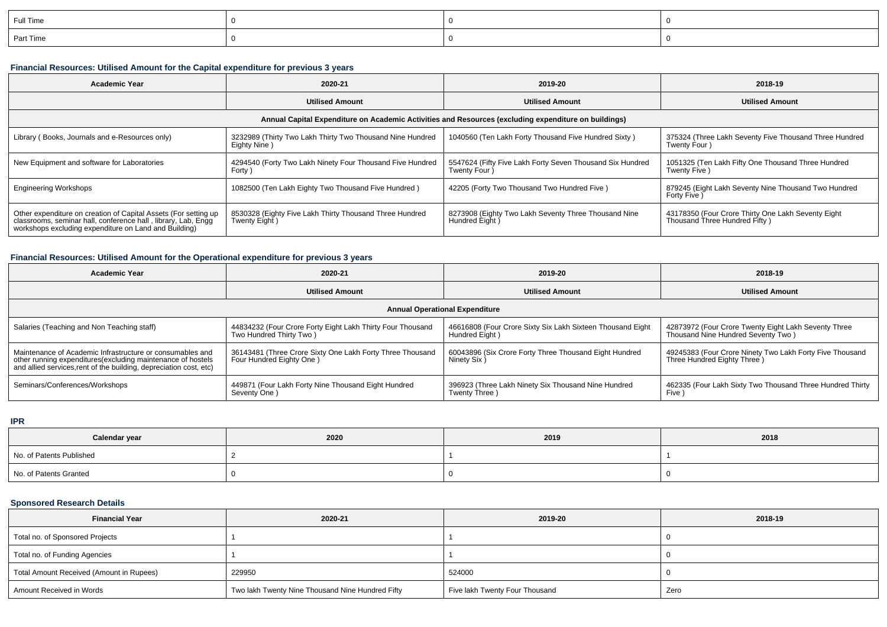| Full Time |  |  |
|-----------|--|--|
| Part Time |  |  |

### **Financial Resources: Utilised Amount for the Capital expenditure for previous 3 years**

| <b>Academic Year</b>                                                                                                                                                                      | 2020-21                                                                   | 2019-20                                                                    | 2018-19                                                                             |  |  |  |  |  |  |
|-------------------------------------------------------------------------------------------------------------------------------------------------------------------------------------------|---------------------------------------------------------------------------|----------------------------------------------------------------------------|-------------------------------------------------------------------------------------|--|--|--|--|--|--|
|                                                                                                                                                                                           | <b>Utilised Amount</b>                                                    | <b>Utilised Amount</b>                                                     | <b>Utilised Amount</b>                                                              |  |  |  |  |  |  |
| Annual Capital Expenditure on Academic Activities and Resources (excluding expenditure on buildings)                                                                                      |                                                                           |                                                                            |                                                                                     |  |  |  |  |  |  |
| Library (Books, Journals and e-Resources only)                                                                                                                                            | 3232989 (Thirty Two Lakh Thirty Two Thousand Nine Hundred<br>Eighty Nine) | 1040560 (Ten Lakh Forty Thousand Five Hundred Sixty)                       | 375324 (Three Lakh Seventy Five Thousand Three Hundred<br>Twenty Four)              |  |  |  |  |  |  |
| New Equipment and software for Laboratories                                                                                                                                               | 4294540 (Forty Two Lakh Ninety Four Thousand Five Hundred<br>Forty)       | 5547624 (Fifty Five Lakh Forty Seven Thousand Six Hundred<br>Twenty Four ) | 1051325 (Ten Lakh Fifty One Thousand Three Hundred<br>Twenty Five)                  |  |  |  |  |  |  |
| <b>Engineering Workshops</b>                                                                                                                                                              | 1082500 (Ten Lakh Eighty Two Thousand Five Hundred)                       | 42205 (Forty Two Thousand Two Hundred Five)                                | 879245 (Eight Lakh Seventy Nine Thousand Two Hundred<br>Forty Five)                 |  |  |  |  |  |  |
| Other expenditure on creation of Capital Assets (For setting up<br>classrooms, seminar hall, conference hall, library, Lab, Engq<br>workshops excluding expenditure on Land and Building) | 8530328 (Eighty Five Lakh Thirty Thousand Three Hundred<br>Twenty Eight)  | 8273908 (Eighty Two Lakh Seventy Three Thousand Nine<br>Hundred Eight      | 43178350 (Four Crore Thirty One Lakh Seventy Eight<br>Thousand Three Hundred Fifty) |  |  |  |  |  |  |

# **Financial Resources: Utilised Amount for the Operational expenditure for previous 3 years**

| Academic Year                                                                                                                                                                                  | 2020-21                                                                               | 2019-20                                                                      | 2018-19                                                                                    |  |  |  |  |  |
|------------------------------------------------------------------------------------------------------------------------------------------------------------------------------------------------|---------------------------------------------------------------------------------------|------------------------------------------------------------------------------|--------------------------------------------------------------------------------------------|--|--|--|--|--|
|                                                                                                                                                                                                | <b>Utilised Amount</b>                                                                | <b>Utilised Amount</b>                                                       | <b>Utilised Amount</b>                                                                     |  |  |  |  |  |
| <b>Annual Operational Expenditure</b>                                                                                                                                                          |                                                                                       |                                                                              |                                                                                            |  |  |  |  |  |
| Salaries (Teaching and Non Teaching staff)                                                                                                                                                     | 44834232 (Four Crore Forty Eight Lakh Thirty Four Thousand<br>Two Hundred Thirty Two) | 46616808 (Four Crore Sixty Six Lakh Sixteen Thousand Eight<br>Hundred Eight) | 42873972 (Four Crore Twenty Eight Lakh Seventy Three<br>Thousand Nine Hundred Seventy Two) |  |  |  |  |  |
| Maintenance of Academic Infrastructure or consumables and<br>other running expenditures(excluding maintenance of hostels<br>and allied services, rent of the building, depreciation cost, etc) | 36143481 (Three Crore Sixty One Lakh Forty Three Thousand<br>Four Hundred Eighty One) | 60043896 (Six Crore Forty Three Thousand Eight Hundred<br>Ninety Six)        | 49245383 (Four Crore Ninety Two Lakh Forty Five Thousand<br>Three Hundred Eighty Three )   |  |  |  |  |  |
| Seminars/Conferences/Workshops                                                                                                                                                                 | 449871 (Four Lakh Forty Nine Thousand Eight Hundred<br>Seventy One)                   | 396923 (Three Lakh Ninety Six Thousand Nine Hundred<br>Twenty Three          | 462335 (Four Lakh Sixty Two Thousand Three Hundred Thirty<br>Five                          |  |  |  |  |  |

**IPR**

| Calendar year            | 2020 | 2019 | 2018 |
|--------------------------|------|------|------|
| No. of Patents Published |      |      |      |
| No. of Patents Granted   |      |      |      |

## **Sponsored Research Details**

| <b>Financial Year</b>                    | 2020-21                                          | 2019-20                        | 2018-19 |
|------------------------------------------|--------------------------------------------------|--------------------------------|---------|
| Total no. of Sponsored Projects          |                                                  |                                |         |
| Total no. of Funding Agencies            |                                                  |                                |         |
| Total Amount Received (Amount in Rupees) | 229950                                           | 524000                         |         |
| Amount Received in Words                 | Two lakh Twenty Nine Thousand Nine Hundred Fifty | Five lakh Twenty Four Thousand | Zero    |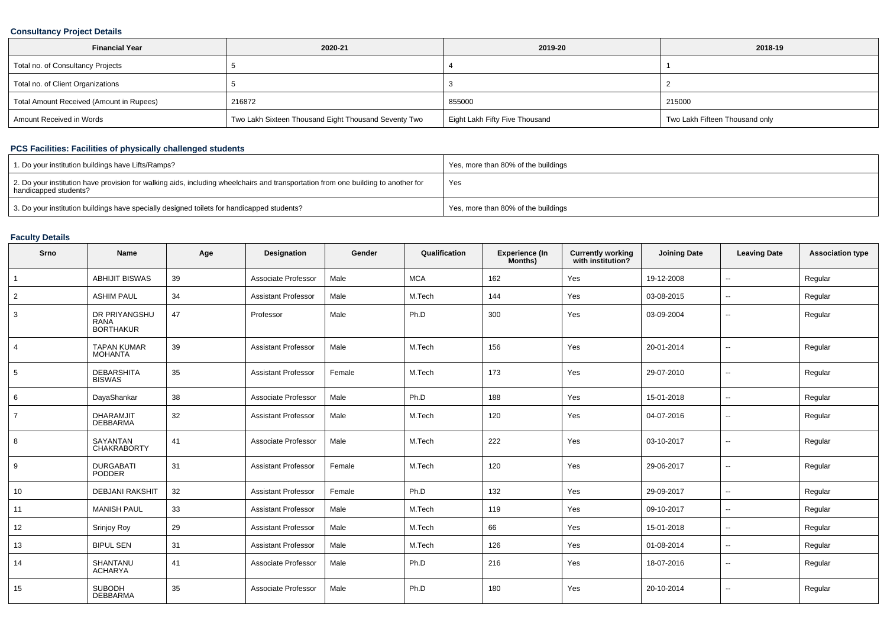### **Consultancy Project Details**

| <b>Financial Year</b>                    | 2020-21                                              | 2019-20                        | 2018-19                        |
|------------------------------------------|------------------------------------------------------|--------------------------------|--------------------------------|
| Total no. of Consultancy Projects        |                                                      |                                |                                |
| Total no. of Client Organizations        |                                                      |                                |                                |
| Total Amount Received (Amount in Rupees) | 216872                                               | 855000                         | 215000                         |
| Amount Received in Words                 | Two Lakh Sixteen Thousand Eight Thousand Seventy Two | Eight Lakh Fifty Five Thousand | Two Lakh Fifteen Thousand only |

## **PCS Facilities: Facilities of physically challenged students**

| 1. Do your institution buildings have Lifts/Ramps?                                                                                                         | Yes, more than 80% of the buildings |
|------------------------------------------------------------------------------------------------------------------------------------------------------------|-------------------------------------|
| 2. Do your institution have provision for walking aids, including wheelchairs and transportation from one building to another for<br>handicapped students? | Yes                                 |
| 3. Do your institution buildings have specially designed toilets for handicapped students?                                                                 | Yes, more than 80% of the buildings |

## **Faculty Details**

| Srno           | <b>Name</b>                                      | Age | Designation                | Gender | Qualification | <b>Experience (In</b><br>Months) | <b>Currently working</b><br>with institution? | <b>Joining Date</b> | <b>Leaving Date</b>      | <b>Association type</b> |
|----------------|--------------------------------------------------|-----|----------------------------|--------|---------------|----------------------------------|-----------------------------------------------|---------------------|--------------------------|-------------------------|
| $\mathbf{1}$   | <b>ABHIJIT BISWAS</b>                            | 39  | Associate Professor        | Male   | <b>MCA</b>    | 162                              | Yes                                           | 19-12-2008          | $\overline{\phantom{a}}$ | Regular                 |
| 2              | <b>ASHIM PAUL</b>                                | 34  | <b>Assistant Professor</b> | Male   | M.Tech        | 144                              | Yes                                           | 03-08-2015          | $\overline{\phantom{a}}$ | Regular                 |
| 3              | DR PRIYANGSHU<br><b>RANA</b><br><b>BORTHAKUR</b> | 47  | Professor                  | Male   | Ph.D          | 300                              | Yes                                           | 03-09-2004          | $\overline{\phantom{a}}$ | Regular                 |
| $\overline{4}$ | <b>TAPAN KUMAR</b><br><b>MOHANTA</b>             | 39  | <b>Assistant Professor</b> | Male   | M.Tech        | 156                              | Yes                                           | 20-01-2014          | $\overline{\phantom{a}}$ | Regular                 |
| 5              | <b>DEBARSHITA</b><br><b>BISWAS</b>               | 35  | <b>Assistant Professor</b> | Female | M.Tech        | 173                              | Yes                                           | 29-07-2010          | $\overline{a}$           | Regular                 |
| 6              | DayaShankar                                      | 38  | Associate Professor        | Male   | Ph.D          | 188                              | Yes                                           | 15-01-2018          | $\mathbf{u}$             | Regular                 |
| $\overline{7}$ | <b>DHARAMJIT</b><br><b>DEBBARMA</b>              | 32  | <b>Assistant Professor</b> | Male   | M.Tech        | 120                              | Yes                                           | 04-07-2016          | $\overline{\phantom{a}}$ | Regular                 |
| 8              | SAYANTAN<br><b>CHAKRABORTY</b>                   | 41  | Associate Professor        | Male   | M.Tech        | 222                              | Yes                                           | 03-10-2017          | $\overline{\phantom{a}}$ | Regular                 |
| 9              | <b>DURGABATI</b><br>PODDER                       | 31  | <b>Assistant Professor</b> | Female | M.Tech        | 120                              | Yes                                           | 29-06-2017          | $-$                      | Regular                 |
| 10             | <b>DEBJANI RAKSHIT</b>                           | 32  | <b>Assistant Professor</b> | Female | Ph.D          | 132                              | Yes                                           | 29-09-2017          | $\overline{\phantom{a}}$ | Regular                 |
| 11             | <b>MANISH PAUL</b>                               | 33  | <b>Assistant Professor</b> | Male   | M.Tech        | 119                              | Yes                                           | 09-10-2017          | $\overline{\phantom{a}}$ | Regular                 |
| 12             | Srinjoy Roy                                      | 29  | <b>Assistant Professor</b> | Male   | M.Tech        | 66                               | Yes                                           | 15-01-2018          | $\overline{\phantom{a}}$ | Regular                 |
| 13             | <b>BIPUL SEN</b>                                 | 31  | <b>Assistant Professor</b> | Male   | M.Tech        | 126                              | Yes                                           | 01-08-2014          | $\overline{\phantom{a}}$ | Regular                 |
| 14             | SHANTANU<br><b>ACHARYA</b>                       | 41  | Associate Professor        | Male   | Ph.D          | 216                              | Yes                                           | 18-07-2016          | --                       | Regular                 |
| 15             | <b>SUBODH</b><br><b>DEBBARMA</b>                 | 35  | Associate Professor        | Male   | Ph.D          | 180                              | Yes                                           | 20-10-2014          | $\overline{\phantom{a}}$ | Regular                 |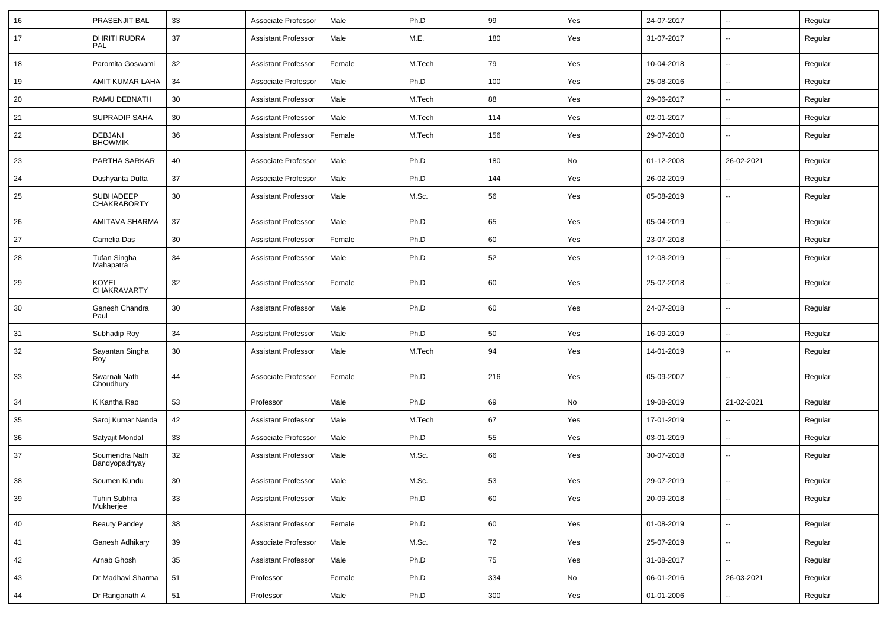| 16 | PRASENJIT BAL                      | 33 | Associate Professor        | Male   | Ph.D   | 99  | Yes | 24-07-2017 | $\overline{\phantom{a}}$ | Regular |
|----|------------------------------------|----|----------------------------|--------|--------|-----|-----|------------|--------------------------|---------|
| 17 | DHRITI RUDRA<br><b>PAL</b>         | 37 | <b>Assistant Professor</b> | Male   | M.E.   | 180 | Yes | 31-07-2017 | --                       | Regular |
| 18 | Paromita Goswami                   | 32 | <b>Assistant Professor</b> | Female | M.Tech | 79  | Yes | 10-04-2018 | -−                       | Regular |
| 19 | AMIT KUMAR LAHA                    | 34 | Associate Professor        | Male   | Ph.D   | 100 | Yes | 25-08-2016 | --                       | Regular |
| 20 | RAMU DEBNATH                       | 30 | <b>Assistant Professor</b> | Male   | M.Tech | 88  | Yes | 29-06-2017 | --                       | Regular |
| 21 | <b>SUPRADIP SAHA</b>               | 30 | <b>Assistant Professor</b> | Male   | M.Tech | 114 | Yes | 02-01-2017 | --                       | Regular |
| 22 | <b>DEBJANI</b><br><b>BHOWMIK</b>   | 36 | <b>Assistant Professor</b> | Female | M.Tech | 156 | Yes | 29-07-2010 | ⊷.                       | Regular |
| 23 | PARTHA SARKAR                      | 40 | Associate Professor        | Male   | Ph.D   | 180 | No  | 01-12-2008 | 26-02-2021               | Regular |
| 24 | Dushyanta Dutta                    | 37 | Associate Professor        | Male   | Ph.D   | 144 | Yes | 26-02-2019 | $\overline{\phantom{a}}$ | Regular |
| 25 | SUBHADEEP<br>CHAKRABORTY           | 30 | <b>Assistant Professor</b> | Male   | M.Sc.  | 56  | Yes | 05-08-2019 | --                       | Regular |
| 26 | AMITAVA SHARMA                     | 37 | <b>Assistant Professor</b> | Male   | Ph.D   | 65  | Yes | 05-04-2019 | --                       | Regular |
| 27 | Camelia Das                        | 30 | <b>Assistant Professor</b> | Female | Ph.D   | 60  | Yes | 23-07-2018 | --                       | Regular |
| 28 | Tufan Singha<br>Mahapatra          | 34 | <b>Assistant Professor</b> | Male   | Ph.D   | 52  | Yes | 12-08-2019 | --                       | Regular |
| 29 | <b>KOYEL</b><br><b>CHAKRAVARTY</b> | 32 | <b>Assistant Professor</b> | Female | Ph.D   | 60  | Yes | 25-07-2018 | $\overline{\phantom{a}}$ | Regular |
| 30 | Ganesh Chandra<br>Paul             | 30 | <b>Assistant Professor</b> | Male   | Ph.D   | 60  | Yes | 24-07-2018 | --                       | Regular |
| 31 | Subhadip Roy                       | 34 | <b>Assistant Professor</b> | Male   | Ph.D   | 50  | Yes | 16-09-2019 | $\overline{\phantom{a}}$ | Regular |
| 32 | Sayantan Singha<br>Roy             | 30 | <b>Assistant Professor</b> | Male   | M.Tech | 94  | Yes | 14-01-2019 | --                       | Regular |
| 33 | Swarnali Nath<br>Choudhury         | 44 | Associate Professor        | Female | Ph.D   | 216 | Yes | 05-09-2007 | -−                       | Regular |
| 34 | K Kantha Rao                       | 53 | Professor                  | Male   | Ph.D   | 69  | No  | 19-08-2019 | 21-02-2021               | Regular |
| 35 | Saroj Kumar Nanda                  | 42 | <b>Assistant Professor</b> | Male   | M.Tech | 67  | Yes | 17-01-2019 | -−                       | Regular |
| 36 | Satyajit Mondal                    | 33 | Associate Professor        | Male   | Ph.D   | 55  | Yes | 03-01-2019 | ⊷.                       | Regular |
| 37 | Soumendra Nath<br>Bandyopadhyay    | 32 | <b>Assistant Professor</b> | Male   | M.Sc.  | 66  | Yes | 30-07-2018 | --                       | Regular |
| 38 | Soumen Kundu                       | 30 | <b>Assistant Professor</b> | Male   | M.Sc.  | 53  | Yes | 29-07-2019 | $\overline{\phantom{a}}$ | Regular |
| 39 | Tuhin Subhra<br>Mukherjee          | 33 | <b>Assistant Professor</b> | Male   | Ph.D   | 60  | Yes | 20-09-2018 | Ξ.                       | Regular |
| 40 | <b>Beauty Pandey</b>               | 38 | <b>Assistant Professor</b> | Female | Ph.D   | 60  | Yes | 01-08-2019 | $\sim$                   | Regular |
| 41 | Ganesh Adhikary                    | 39 | Associate Professor        | Male   | M.Sc.  | 72  | Yes | 25-07-2019 | Ξ.                       | Regular |
| 42 | Arnab Ghosh                        | 35 | <b>Assistant Professor</b> | Male   | Ph.D   | 75  | Yes | 31-08-2017 | ш.                       | Regular |
| 43 | Dr Madhavi Sharma                  | 51 | Professor                  | Female | Ph.D   | 334 | No  | 06-01-2016 | 26-03-2021               | Regular |
| 44 | Dr Ranganath A                     | 51 | Professor                  | Male   | Ph.D   | 300 | Yes | 01-01-2006 | $\overline{\phantom{a}}$ | Regular |